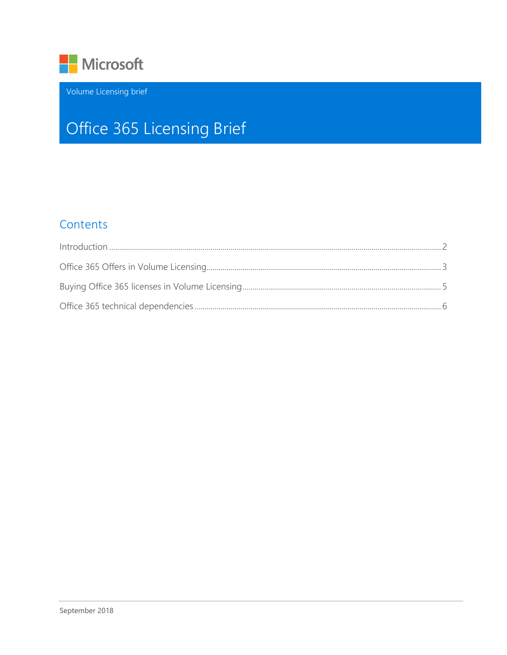

Volume Licensing brief

# Office 365 Licensing Brief

### Contents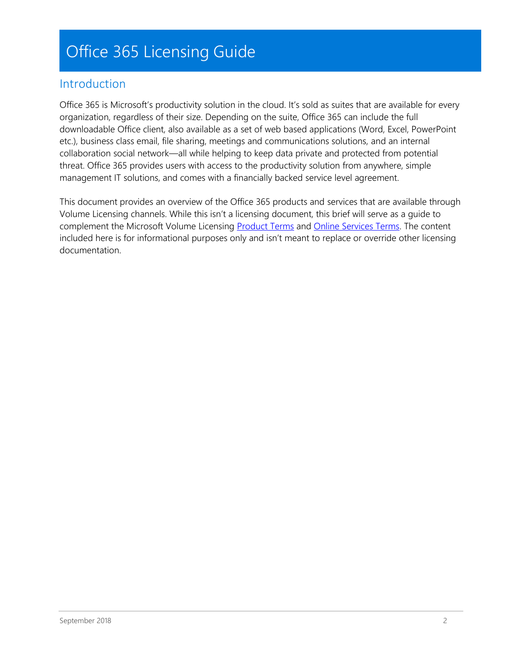## Office 365 Licensing Guide

### <span id="page-1-0"></span>Introduction

Office 365 is Microsoft's productivity solution in the cloud. It's sold as suites that are available for every organization, regardless of their size. Depending on the suite, Office 365 can include the full downloadable Office client, also available as a set of web based applications (Word, Excel, PowerPoint etc.), business class email, file sharing, meetings and communications solutions, and an internal collaboration social network—all while helping to keep data private and protected from potential threat. Office 365 provides users with access to the productivity solution from anywhere, simple management IT solutions, and comes with a financially backed service level agreement.

This document provides an overview of the Office 365 products and services that are available through Volume Licensing channels. While this isn't a licensing document, this brief will serve as a guide to complement the Microsoft Volume Licensing [Product Terms](http://www.microsoft.com/en-us/licensing/product-licensing/products.aspx#PT) and [Online Services Terms.](http://www.microsoft.com/en-us/licensing/product-licensing/products.aspx#OST) The content included here is for informational purposes only and isn't meant to replace or override other licensing documentation.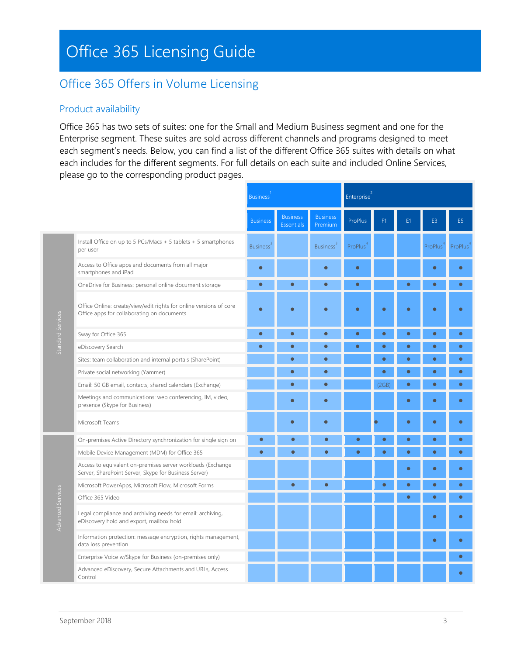## Office 365 Licensing Guide

## <span id="page-2-0"></span>Office 365 Offers in Volume Licensing

#### Product availability

Office 365 has two sets of suites: one for the Small and Medium Business segment and one for the Enterprise segment. These suites are sold across different channels and programs designed to meet each segment's needs. Below, you can find a list of the different Office 365 suites with details on what each includes for the different segments. For full details on each suite and included Online Services, please go to the corresponding product pages.

|                   |                                                                                                                      | <b>Business</b> |                                      |                              | Enterprise <sup>2</sup> |           |           |           |                |
|-------------------|----------------------------------------------------------------------------------------------------------------------|-----------------|--------------------------------------|------------------------------|-------------------------|-----------|-----------|-----------|----------------|
|                   |                                                                                                                      | <b>Business</b> | <b>Business</b><br><b>Essentials</b> | <b>Business</b><br>Premium   | ProPlus                 | F1        | E1        | E3        | E <sub>5</sub> |
| Standard Services | Install Office on up to 5 PCs/Macs + 5 tablets + 5 smartphones<br>per user                                           | <b>Business</b> |                                      | <b>Business</b> <sup>3</sup> | ProPlus                 |           |           | ProPlus   | ProPlus        |
|                   | Access to Office apps and documents from all major<br>smartphones and iPad                                           | $\bullet$       |                                      |                              | $\bullet$               |           |           |           |                |
|                   | OneDrive for Business: personal online document storage                                                              | $\bullet$       | $\bullet$                            | $\bullet$                    | $\bullet$               |           | $\bullet$ | ö         | $\bullet$      |
|                   | Office Online: create/view/edit rights for online versions of core<br>Office apps for collaborating on documents     | $\bullet$       | $\bullet$                            | $\bullet$                    | $\bullet$               | $\bullet$ | $\bullet$ | ٠         |                |
|                   | Sway for Office 365                                                                                                  | $\bullet$       | $\bullet$                            | $\bullet$                    | $\bullet$               | $\bullet$ | $\bullet$ | $\bullet$ | $\bullet$      |
|                   | eDiscovery Search                                                                                                    | $\bullet$       | $\bullet$                            | $\bullet$                    | $\bullet$               | $\bullet$ |           | $\bullet$ | $\bullet$      |
|                   | Sites: team collaboration and internal portals (SharePoint)                                                          |                 | $\bullet$                            | $\bullet$                    |                         | $\bullet$ | $\bullet$ | $\bullet$ | $\bullet$      |
|                   | Private social networking (Yammer)                                                                                   |                 | $\bullet$                            | $\bullet$                    |                         | $\bullet$ | $\bullet$ | $\bullet$ | $\bullet$      |
|                   | Email: 50 GB email, contacts, shared calendars (Exchange)                                                            |                 | $\bullet$                            | $\bullet$                    |                         | (2GB)     | $\bullet$ | $\bullet$ | $\bullet$      |
|                   | Meetings and communications: web conferencing, IM, video,<br>presence (Skype for Business)                           |                 | $\bullet$                            | $\bullet$                    |                         |           | $\bullet$ | ö         | $\bullet$      |
|                   | Microsoft Teams                                                                                                      |                 | $\bullet$                            | $\bullet$                    |                         |           | $\bullet$ | $\bullet$ | $\bullet$      |
|                   | On-premises Active Directory synchronization for single sign on                                                      | $\bullet$       | $\bullet$                            | $\bullet$                    | $\bullet$               | $\bullet$ | $\bullet$ | $\bullet$ | $\bullet$      |
|                   | Mobile Device Management (MDM) for Office 365                                                                        | $\bullet$       | ∙                                    | $\bullet$                    | $\bullet$               |           |           | ۰         | $\bullet$      |
| Advanced Services | Access to equivalent on-premises server workloads (Exchange<br>Server, SharePoint Server, Skype for Business Server) |                 |                                      |                              |                         |           | ٠         | ō         |                |
|                   | Microsoft PowerApps, Microsoft Flow, Microsoft Forms                                                                 |                 | $\bullet$                            | $\bullet$                    |                         | ٠         | $\bullet$ | $\bullet$ | $\bullet$      |
|                   | Office 365 Video                                                                                                     |                 |                                      |                              |                         |           | $\bullet$ | $\bullet$ | $\bullet$      |
|                   | Legal compliance and archiving needs for email: archiving,<br>eDiscovery hold and export, mailbox hold               |                 |                                      |                              |                         |           |           | ۵         | $\bullet$      |
|                   | Information protection: message encryption, rights management,<br>data loss prevention                               |                 |                                      |                              |                         |           |           | $\bullet$ | $\bullet$      |
|                   | Enterprise Voice w/Skype for Business (on-premises only)                                                             |                 |                                      |                              |                         |           |           |           | $\bullet$      |
|                   | Advanced eDiscovery, Secure Attachments and URLs, Access<br>Control                                                  |                 |                                      |                              |                         |           |           |           |                |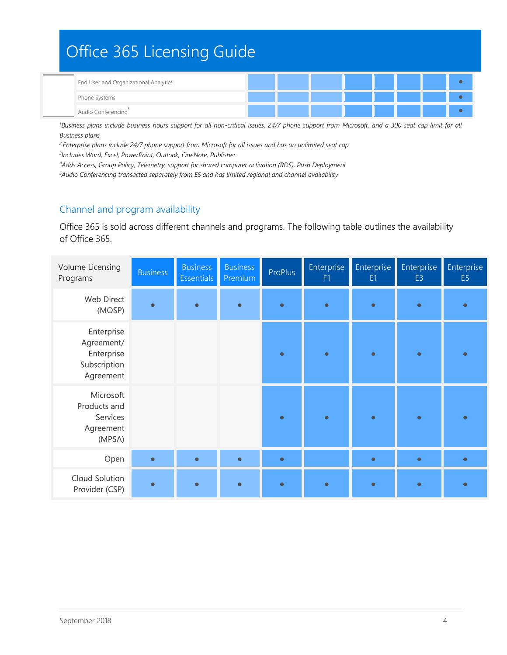## Office 365 Licensing Guide End User and Organizational Analytics ⚫ Phone Systems ⚫ Audio Conferencing <u>Sales and Sales and Sales and Sales and Sales and Sales and Sales and Sales and Sales and</u>

<sup>1</sup>Business plans include business hours support for all non-critical issues, 24/7 phone support from Microsoft, and a 300 seat cap limit for all *Business plans*

*<sup>2</sup>Enterprise plans include 24/7 phone support from Microsoft for all issues and has an unlimited seat cap 3 Includes Word, Excel, PowerPoint, Outlook, OneNote, Publisher*

*<sup>4</sup>Adds Access, Group Policy, Telemetry, support for shared computer activation (RDS), Push Deployment*

*<sup>5</sup>Audio Conferencing transacted separately from E5 and has limited regional and channel availability*

#### Channel and program availability

Office 365 is sold across different channels and programs. The following table outlines the availability of Office 365.

<span id="page-3-0"></span>

| Volume Licensing<br>Programs                                        | <b>Business</b> | <b>Business</b><br><b>Essentials</b> | <b>Business</b><br>Premium | ProPlus   | Enterprise<br>F1 | Enterprise<br>E <sub>1</sub> | Enterprise<br>E <sub>3</sub> | Enterprise<br>E <sub>5</sub> |
|---------------------------------------------------------------------|-----------------|--------------------------------------|----------------------------|-----------|------------------|------------------------------|------------------------------|------------------------------|
| Web Direct<br>(MOSP)                                                | $\bullet$       | $\bullet$                            | $\bullet$                  | $\bullet$ | $\bullet$        | $\bullet$                    | $\bullet$                    | $\bullet$                    |
| Enterprise<br>Agreement/<br>Enterprise<br>Subscription<br>Agreement |                 |                                      |                            | $\bullet$ | $\bullet$        | $\bullet$                    | $\bullet$                    | $\bullet$                    |
| Microsoft<br>Products and<br>Services<br>Agreement<br>(MPSA)        |                 |                                      |                            | $\bullet$ | $\bullet$        | $\bullet$                    | $\bullet$                    | $\bullet$                    |
| Open                                                                | $\bullet$       | $\bullet$                            | $\bullet$                  | $\bullet$ |                  | $\bullet$                    | $\bullet$                    | $\bullet$                    |
| Cloud Solution<br>Provider (CSP)                                    | $\bullet$       |                                      |                            | $\bullet$ |                  |                              |                              |                              |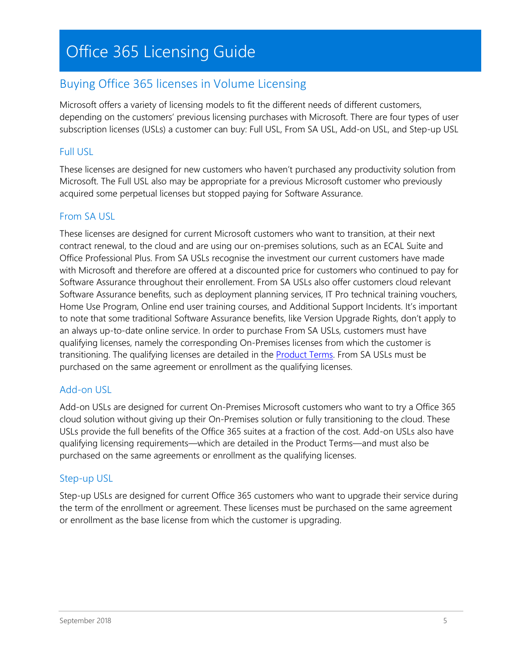## Buying Office 365 licenses in Volume Licensing

Microsoft offers a variety of licensing models to fit the different needs of different customers, depending on the customers' previous licensing purchases with Microsoft. There are four types of user subscription licenses (USLs) a customer can buy: Full USL, From SA USL, Add-on USL, and Step-up USL

### Full USL

These licenses are designed for new customers who haven't purchased any productivity solution from Microsoft. The Full USL also may be appropriate for a previous Microsoft customer who previously acquired some perpetual licenses but stopped paying for Software Assurance.

### From SA USL

These licenses are designed for current Microsoft customers who want to transition, at their next contract renewal, to the cloud and are using our on-premises solutions, such as an ECAL Suite and Office Professional Plus. From SA USLs recognise the investment our current customers have made with Microsoft and therefore are offered at a discounted price for customers who continued to pay for Software Assurance throughout their enrollement. From SA USLs also offer customers cloud relevant Software Assurance benefits, such as deployment planning services, IT Pro technical training vouchers, Home Use Program, Online end user training courses, and Additional Support Incidents. It's important to note that some traditional Software Assurance benefits, like Version Upgrade Rights, don't apply to an always up-to-date online service. In order to purchase From SA USLs, customers must have qualifying licenses, namely the corresponding On-Premises licenses from which the customer is transitioning. The qualifying licenses are detailed in the **Product Terms**. From SA USLs must be purchased on the same agreement or enrollment as the qualifying licenses.

### Add-on USL

Add-on USLs are designed for current On-Premises Microsoft customers who want to try a Office 365 cloud solution without giving up their On-Premises solution or fully transitioning to the cloud. These USLs provide the full benefits of the Office 365 suites at a fraction of the cost. Add-on USLs also have qualifying licensing requirements—which are detailed in the Product Terms—and must also be purchased on the same agreements or enrollment as the qualifying licenses.

### Step-up USL

Step-up USLs are designed for current Office 365 customers who want to upgrade their service during the term of the enrollment or agreement. These licenses must be purchased on the same agreement or enrollment as the base license from which the customer is upgrading.